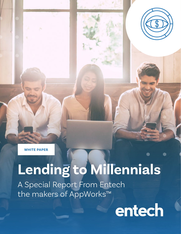

**WHITE PAPER**

# **Lending to Millennials**

A Special Report From Entech the makers of AppWorks™

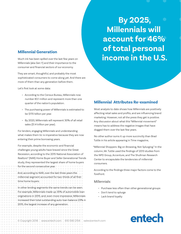#### **Millennial Generation**

Much ink has been spilled over the last few years on Millennials (aka Gen Y) and their importance to the consumer and financial sectors of our economy.

They are smart, thoughtful, and probably the most sophisticated consumers to come along yet. And there are more of them than any generation before them.

Let's first look at some data:

- According to the Census Bureau, Millennials now number 83.1 million and represent more than one quarter of the nation's population.
- The purchasing power of Millennials is estimated to be \$170 billion per year.
- By 2020, Millennials will represent 30% of all retail sales (\$1.4 trillion per year).

For lenders, engaging Millennials and understanding what makes them tic is imperative because they are now entering their prime borrowing years.

For example, despite the economic and financial challenges young adults have braved since the Great Recession, according to the 2015 National Association of Realtors® (NAR) Home Buyer and Seller Generational Trends study, they represented the largest share of home buyers for the second consecutive year.

And, according to NAR, over the last three years the millennial segment accounted for two-thirds of all firsttime home buyers.

In other lending segments the same trends can be seen. For example, Millennials made up 35% of automobile loan originations in 2015, and, even more impressive, Millennials increased their total outstanding auto loan balance 23% in 2015, the largest increase of any generation.

**By 2025, Millennials will account for 46% of total personal income in the U.S.**

#### **Millennial Attributes Re-examined**

Most analysis to date shows how Millennials are positively affecting retail sales and profits, and are influencing brand marketing. However, not all the press they get is positive. Any discussion about what this "Millennial movement" means has to address the negative images that have dogged them over the last few years.

No other author sums it up more succinctly than Brad Tuttle in his article appearing in Time magazine,

"Millennial Shoppers: Big on Browsing, Not Splurging." In the column, Mr. Tuttle used the findings of 2013 studies from the NPD Group, Accenture, and The Shullman Research Center to encapsulate the tendencies of millennial consumers.

According to the findings three major factors come to the forefront.

#### Millennials:

- Purchase less often than other generational groups
- Don't tend to splurge
- Lack brand loyalty

# entech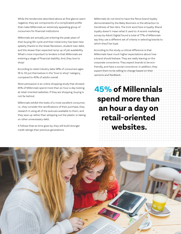While the tendencies described above at first glance seem negative, they are components of a complicated profile that make Millennials an extremely appealing group of consumers for financial institutions.

Millennials are actually just entering the peak years of their buying life-cycle and their initial entry has been less splashy thanks to the Great Recession, student loan debt, and the slower than expected ramp up of job availability. What's more important to lenders is that Millennials are entering a stage of financial stability. And, they love to shop!

According to retail industry data 58% of consumers ages 18 to 33 put themselves in the "love to shop" category, compared to 40% of adults overall.

More persuasive is an online shopping study that showed 45% of Millennials spend more than an hour a day looking at retail-oriented websites. If they are shopping, buying is not far behind.

Millennials exhibit the traits of a most excellent consumer, i.e., they consider the ramifications of their purchase, they research it using all of the avenues available to them, and they save up rather than whipping out the plastic or taking on other unnecessary debt.

It follows that as time goes by, they will build stronger credit ratings than previous generations.

Millennials do not tend to have the fierce brand loyalty demonstrated by the Baby Boomers or the attraction to trendiness of Gen Xers. The trick word here is loyalty. Brand loyalty doesn't mean what it used to. A recent marketing survey by Adroit Digital found a total of 77% of Millennials say they use a different set of criteria in selecting brands to which they'll be loyal.

According to the study, a critical difference is that Millennials have much higher expectations about how a brand should behave. They are really leaning on the corporate conscience. They expect brands to be ecofriendly, and have a social conscience. In addition, they expect them to be willing to change based on their opinions and feedback.

**45% of Millennials spend more than an hour a day on retail-oriented websites.**

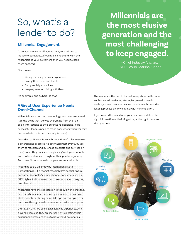# So, what's a lender to do?

#### **Millennial Engagement**

To engage means to offer, to attract, to bind, and to induce to participate. If you are a lender and want the Millennials as your customers, then you need to keep them engaged.

This means:

- Giving them a great user experience
- Saving them time and hassle
- Being socially conscious
- Keeping an open dialog with them

It's as simple, and as hard, as that.

#### **A Great User Experience Needs Omni-Channel**

Millennials were born into technology and have embraced it to the point that it drives everything from their daily social interactions to their purchasing decisions. To be successful, lenders need to reach consumers wherever they are, on whatever device they may be using.

According to Nielsen Research, over 85% of Millennials own a smartphone or tablet. It's estimated that over 60% use them to research and purchase products and services on the go. Also, they are increasingly using multiple channels and multiple devices throughout their purchase journey. And these Omni-channel shoppers are very valuable.

According to a 2015 study by International Data Corporation (IDC), a market research firm specializing in consumer technology, omni-channel consumers have a 30% higher lifetime value than those who shop using only one channel.

Millennials have the expectation in today's world that they can transition across purchasing channels. For example, start a purchase through a mobile app and complete the purchase through a web browser on a desktop computer.

Ultimately, they are seeking a seamless experience. And beyond seamless, they are increasingly expecting their experience across channels to be without boundaries.

**Millennials are the most elusive generation and the most challenging to keep engaged.**

> —Chief Industry Analyst, NPD Group, Marshal Cohen

The winners in the omni-channel sweepstakes will create sophisticated marketing strategies geared towards enabling consumers to advance completely through the lending process on any channel with minimal effort.

If you want Millennials to be your customers, deliver the right information at their fingertips, at the right place and the right time.

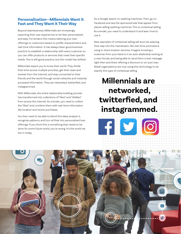#### **Personalization—Millennials Want it Fast and They Want it Their Way**

Beyond seamlessness, Millennials are increasingly expecting their user experiences to be fast, personalized, and easy. For lenders, this means tailoring your loan offerings to customers based on profile characteristics and real-time information. It has always been good business practice to establish a relationship with every customer so you can offer products or services that meet their specific needs. This is still good practice, but the model has shifted.

Millennials expect you to know their world. They divide their time across multiple priorities, get their news and reviews from the internet, and stay connected to their friends and the world through social networks and instantly accessed information. They are networked, twitterfied, and instagrammed.

With Millennials, the entire relationship building process has transformed into collections of "likes" and "dislikes" from across the internet. As a lender, you need to collect the "likes" and combine them with real-time information like location and recent purchases.

You then need to be able to blend this data, analyze it, recognize patterns, and turn all that into personalized loan offerings. If you think this is something that needs to be done for some future world, you're wrong. It's the world we live in today.

Do a Google search on washing machines. Then, go on Facebook and see the sponsored ads that appear from places selling washing machines. This is contextual selling. As a lender, you need to understand it and learn how to use it.

New examples of contextual selling will soon be weaving their way into the mainstream, like real-time promotions using in-store location services. Imagine knowing a customer from your bank is in an auto dealership looking at a new Honda, and being able to send them a text message right then and there offering a discount on an auto loan. Retail organizations are now using this technology to do exactly this type of contextual selling.

### **Millennials are networked, twitterfied, and instagrammed.**

**filyi**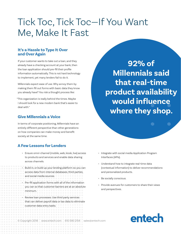# Tick Toc, Tick Toc—If You Want Me, Make It Fast

#### **It's a Hassle to Type It Over and Over Again**

If your customer wants to take out a loan, and they already have a checking account at your bank, then the loan application should pre-fill their profile information automatically. This is not hard technology to implement, yet many lenders fail to do it.

Millennials expect ease of use. Why annoy them by making them fill out forms with basic data they know you already have? You risk a thought process like:

"This organization is really behind the times. Maybe I should look for a new modern bank that's easier to deal with."

#### **Give Millennials a Voice**

In terms of corporate positioning, Millennials have an entirely different perspective than other generations on how companies can make money and benefit society at the same time.

#### **A Few Lessons for Lenders**

- Ensure omni-channel (mobile, web, kiosk, live) access to products and services and enable data sharing across channels.
- Build in, or build up your lending platform so you can access data from internal databases, third parties, and social media sources.
- Pre-fill application forms with all of the information you can so that customer barriers are at an absolute minimum.
- Review loan processes. Use third party services that can deliver payroll data or tax data to eliminate customer data entry tasks.

**92% of Millennials said that real-time product availability would influence where they shop.**

- Integrate with social media Application Program Interfaces (APIs).
- Understand how to integrate real-time data (contextual information) to deliver recommendations and personalized products.
- Be socially conscious.
- Provide avenues for customers to share their views and perspectives.